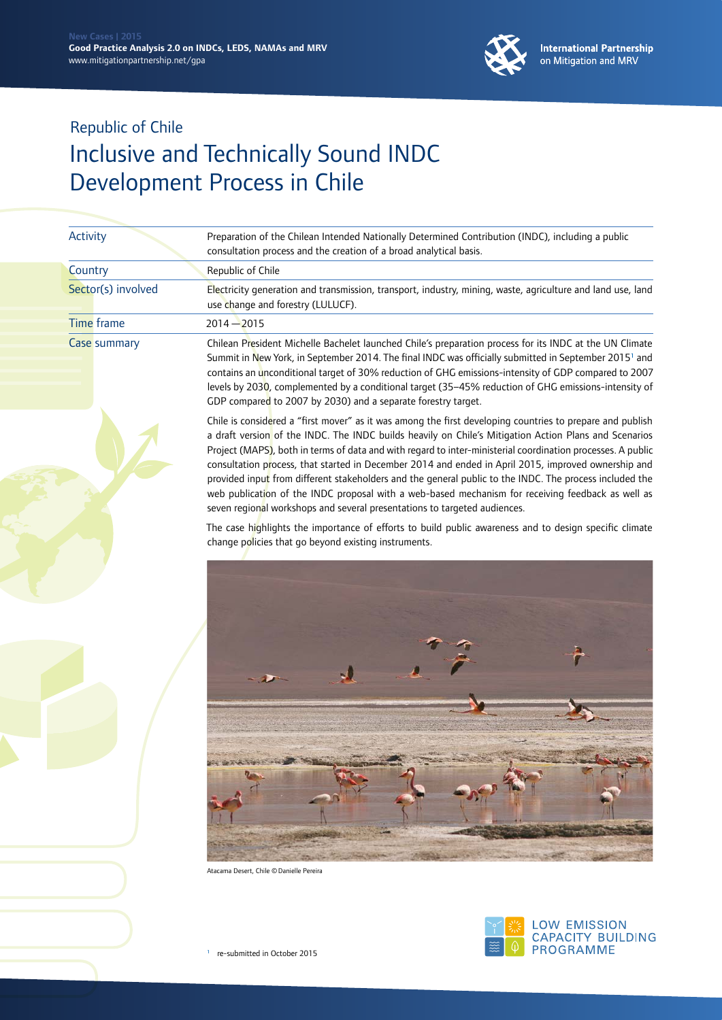

| Activity            | Preparation of the Chilean Intended Nationally Determined Contribution (INDC), including a public<br>consultation process and the creation of a broad analytical basis.                                                                                                                                                                                                                                                                                                                                                                                                                                                                                                                                                               |
|---------------------|---------------------------------------------------------------------------------------------------------------------------------------------------------------------------------------------------------------------------------------------------------------------------------------------------------------------------------------------------------------------------------------------------------------------------------------------------------------------------------------------------------------------------------------------------------------------------------------------------------------------------------------------------------------------------------------------------------------------------------------|
| Country             | Republic of Chile                                                                                                                                                                                                                                                                                                                                                                                                                                                                                                                                                                                                                                                                                                                     |
| Sector(s) involved  | Electricity generation and transmission, transport, industry, mining, waste, agriculture and land use, land<br>use change and forestry (LULUCF).                                                                                                                                                                                                                                                                                                                                                                                                                                                                                                                                                                                      |
| <b>Time</b> frame   | $2014 - 2015$                                                                                                                                                                                                                                                                                                                                                                                                                                                                                                                                                                                                                                                                                                                         |
| <b>Case summary</b> | Chilean President Michelle Bachelet launched Chile's preparation process for its INDC at the UN Climate<br>Summit in New York, in September 2014. The final INDC was officially submitted in September 2015 <sup>1</sup> and<br>contains an unconditional target of 30% reduction of GHG emissions-intensity of GDP compared to 2007<br>levels by 2030, complemented by a conditional target (35-45% reduction of GHG emissions-intensity of<br>GDP compared to 2007 by 2030) and a separate forestry target.                                                                                                                                                                                                                         |
|                     | Chile is considered a "first mover" as it was among the first developing countries to prepare and publish<br>a draft version of the INDC. The INDC builds heavily on Chile's Mitigation Action Plans and Scenarios<br>Project (MAPS), both in terms of data and with regard to inter-ministerial coordination processes. A public<br>consultation process, that started in December 2014 and ended in April 2015, improved ownership and<br>provided input from different stakeholders and the general public to the INDC. The process included the<br>web publication of the INDC proposal with a web-based mechanism for receiving feedback as well as<br>seven regional workshops and several presentations to targeted audiences. |
|                     | The case highlights the importance of efforts to build public awareness and to design specific climate<br>change policies that go beyond existing instruments.                                                                                                                                                                                                                                                                                                                                                                                                                                                                                                                                                                        |
|                     |                                                                                                                                                                                                                                                                                                                                                                                                                                                                                                                                                                                                                                                                                                                                       |
|                     |                                                                                                                                                                                                                                                                                                                                                                                                                                                                                                                                                                                                                                                                                                                                       |
|                     |                                                                                                                                                                                                                                                                                                                                                                                                                                                                                                                                                                                                                                                                                                                                       |
|                     |                                                                                                                                                                                                                                                                                                                                                                                                                                                                                                                                                                                                                                                                                                                                       |

Atacama Desert, Chile ©Danielle Pereira



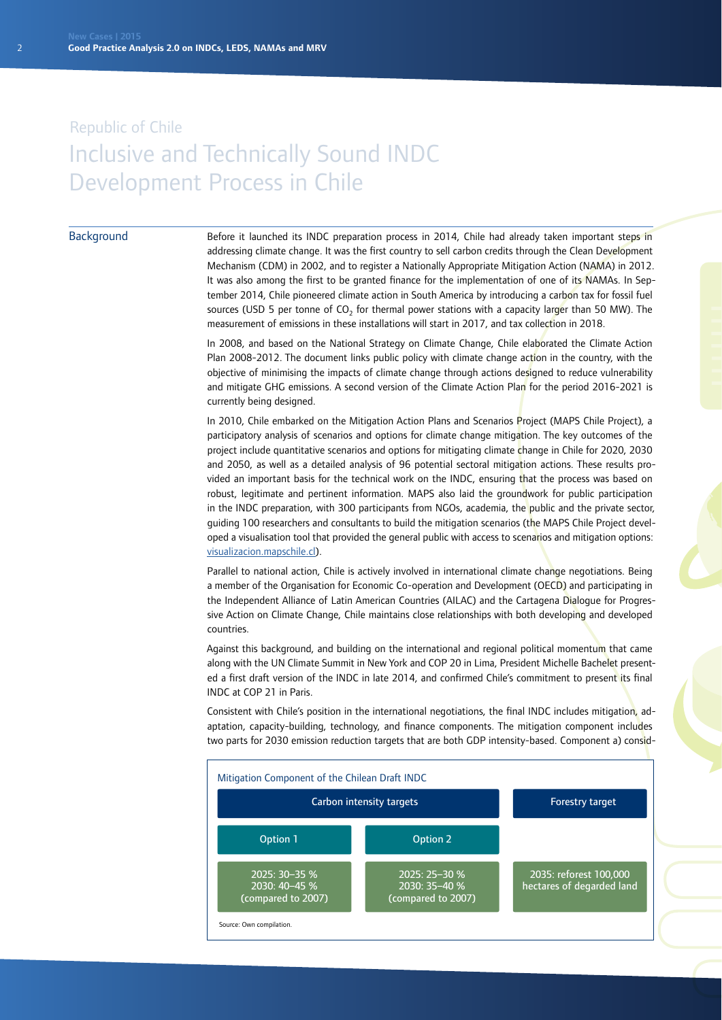#### **Background**

Before it launched its INDC preparation process in 2014, Chile had already taken important steps in addressing climate change. It was the first country to sell carbon credits through the Clean Development Mechanism (CDM) in 2002, and to register a Nationally Appropriate Mitigation Action (NAMA) in 2012. It was also among the first to be granted finance for the implementation of one of its NAMAs. In September 2014, Chile pioneered climate action in South America by introducing a carbon tax for fossil fuel sources (USD 5 per tonne of  $CO<sub>2</sub>$  for thermal power stations with a capacity larger than 50 MW). The measurement of emissions in these installations will start in 2017, and tax collection in 2018.

In 2008, and based on the National Strategy on Climate Change, Chile elaborated the Climate Action Plan 2008-2012. The document links public policy with climate change action in the country, with the objective of minimising the impacts of climate change through actions designed to reduce vulnerability and mitigate GHG emissions. A second version of the Climate Action Plan for the period 2016-2021 is currently being designed.

In 2010, Chile embarked on the Mitigation Action Plans and Scenarios Project (MAPS Chile Project), a participatory analysis of scenarios and options for climate change mitigation. The key outcomes of the project include quantitative scenarios and options for mitigating climate change in Chile for 2020, 2030 and 2050, as well as a detailed analysis of 96 potential sectoral mitigation actions. These results provided an important basis for the technical work on the INDC, ensuring that the process was based on robust, legitimate and pertinent information. MAPS also laid the groundwork for public participation in the INDC preparation, with 300 participants from NGOs, academia, the public and the private sector, guiding 100 researchers and consultants to build the mitigation scenarios (the MAPS Chile Project developed a visualisation tool that provided the general public with access to scenarios and mitigation options: [visualizacion.mapschile.cl](http://visualizacion.mapschile.cl)).

Parallel to national action, Chile is actively involved in international climate change negotiations. Being a member of the Organisation for Economic Co-operation and Development (OECD) and participating in the Independent Alliance of Latin American Countries (AILAC) and the Cartagena Dialogue for Progressive Action on Climate Change, Chile maintains close relationships with both developing and developed countries.

Against this background, and building on the international and regional political momentum that came along with the UN Climate Summit in New York and COP 20 in Lima, President Michelle Bachelet presented a first draft version of the INDC in late 2014, and confirmed Chile's commitment to present its final INDC at COP 21 in Paris.

Consistent with Chile's position in the international negotiations, the final INDC includes mitigation, adaptation, capacity-building, technology, and finance components. The mitigation component includes two parts for 2030 emission reduction targets that are both GDP intensity-based. Component a) consid-

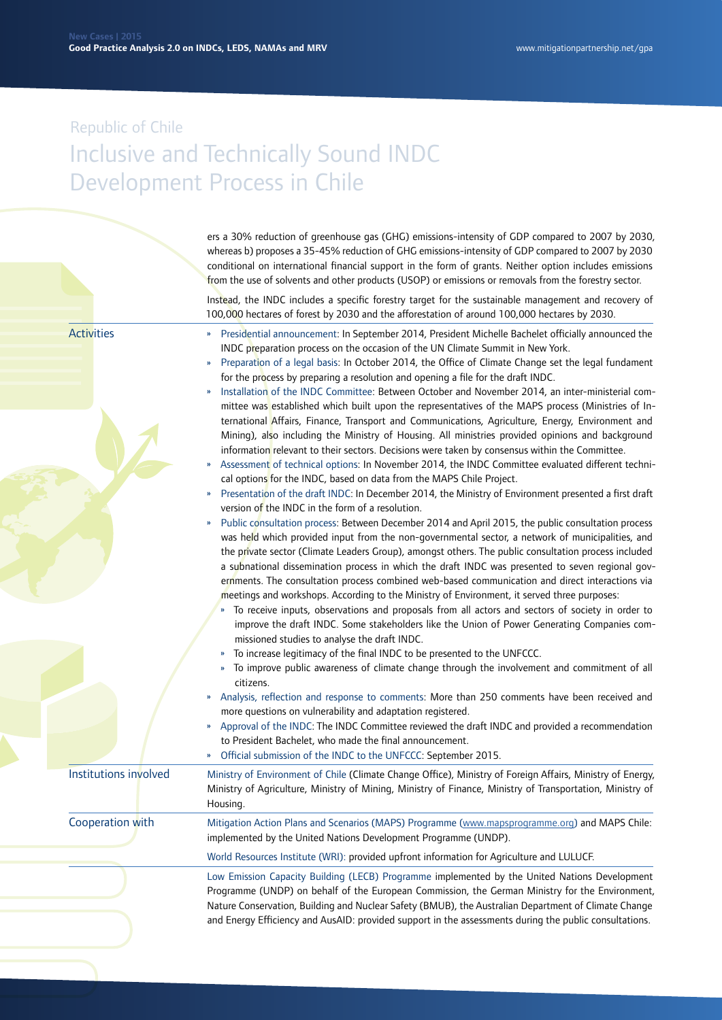ers a 30% reduction of greenhouse gas (GHG) emissions-intensity of GDP compared to 2007 by 2030, whereas b) proposes a 35-45% reduction of GHG emissions-intensity of GDP compared to 2007 by 2030 conditional on international financial support in the form of grants. Neither option includes emissions from the use of solvents and other products (USOP) or emissions or removals from the forestry sector.

Instead, the INDC includes a specific forestry target for the sustainable management and recovery of 100,000 hectares of forest by 2030 and the afforestation of around 100,000 hectares by 2030.

**Activities** 

- » Presidential announcement: In September 2014, President Michelle Bachelet officially announced the INDC preparation process on the occasion of the UN Climate Summit in New York.
- » Preparation of a legal basis: In October 2014, the Office of Climate Change set the legal fundament for the process by preparing a resolution and opening a file for the draft INDC.
- » Installation of the INDC Committee: Between October and November 2014, an inter-ministerial committee was established which built upon the representatives of the MAPS process (Ministries of International Affairs, Finance, Transport and Communications, Agriculture, Energy, Environment and Mining), also including the Ministry of Housing. All ministries provided opinions and background information relevant to their sectors. Decisions were taken by consensus within the Committee.
- » Assessment of technical options: In November 2014, the INDC Committee evaluated different technical options for the INDC, based on data from the MAPS Chile Project.
- » Presentation of the draft INDC: In December 2014, the Ministry of Environment presented a first draft version of the INDC in the form of a resolution.
- » Public consultation process: Between December 2014 and April 2015, the public consultation process was held which provided input from the non-governmental sector, a network of municipalities, and the private sector (Climate Leaders Group), amongst others. The public consultation process included a subnational dissemination process in which the draft INDC was presented to seven regional governments. The consultation process combined web-based communication and direct interactions via meetings and workshops. According to the Ministry of Environment, it served three purposes:
	- » To receive inputs, observations and proposals from all actors and sectors of society in order to improve the draft INDC. Some stakeholders like the Union of Power Generating Companies commissioned studies to analyse the draft INDC.
	- » To increase legitimacy of the final INDC to be presented to the UNFCCC.
	- » To improve public awareness of climate change through the involvement and commitment of all citizens.
- » Analysis, reflection and response to comments: More than 250 comments have been received and more questions on vulnerability and adaptation registered.
- » Approval of the INDC: The INDC Committee reviewed the draft INDC and provided a recommendation to President Bachelet, who made the final announcement.
- » Official submission of the INDC to the UNFCCC: September 2015.

Ministry of Environment of Chile (Climate Change Office), Ministry of Foreign Affairs, Ministry of Energy, Ministry of Agriculture, Ministry of Mining, Ministry of Finance, Ministry of Transportation, Ministry of Housing. Institutions involved Cooperation with

Mitigation Action Plans and Scenarios (MAPS) Programme ([www.mapsprogramme.org\)](http://www.mapsprogramme.org) and MAPS Chile: implemented by the United Nations Development Programme (UNDP).

World Resources Institute (WRI): provided upfront information for Agriculture and LULUCF.

Low Emission Capacity Building (LECB) Programme implemented by the United Nations Development Programme (UNDP) on behalf of the European Commission, the German Ministry for the Environment, Nature Conservation, Building and Nuclear Safety (BMUB), the Australian Department of Climate Change and Energy Efficiency and AusAID: provided support in the assessments during the public consultations.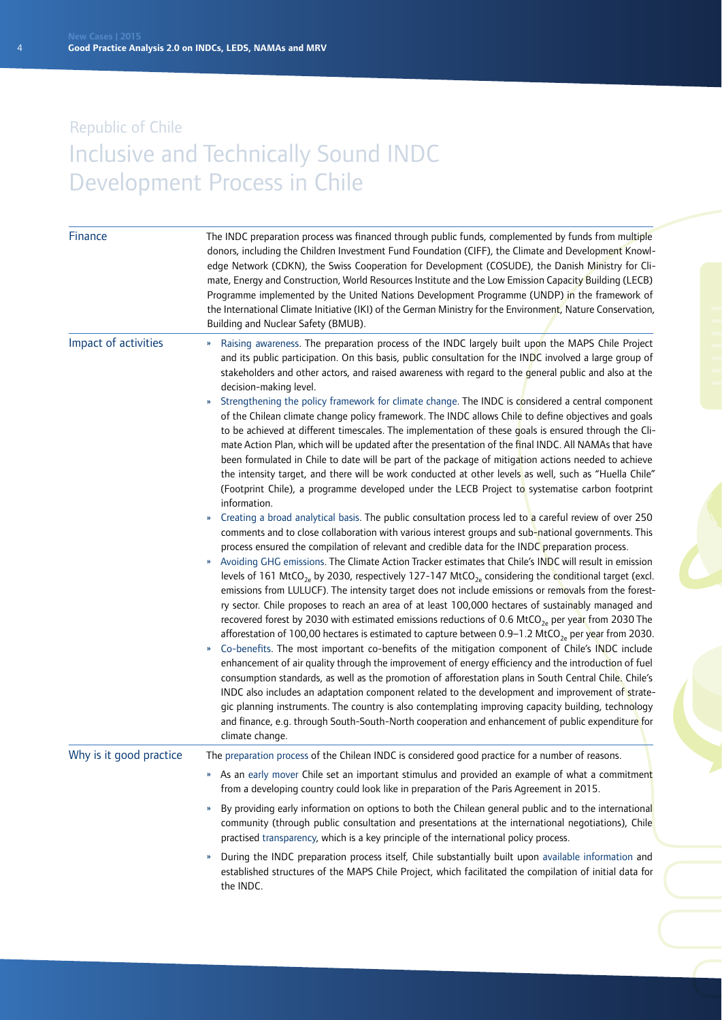| Finance                 | The INDC preparation process was financed through public funds, complemented by funds from multiple<br>donors, including the Children Investment Fund Foundation (CIFF), the Climate and Development Knowl-<br>edge Network (CDKN), the Swiss Cooperation for Development (COSUDE), the Danish Ministry for Cli-<br>mate, Energy and Construction, World Resources Institute and the Low Emission Capacity Building (LECB)<br>Programme implemented by the United Nations Development Programme (UNDP) in the framework of<br>the International Climate Initiative (IKI) of the German Ministry for the Environment, Nature Conservation,<br>Building and Nuclear Safety (BMUB).                                                                                                                                                                                                                                                                                                                                                                                                                                                                                                                                                                                                                                                                                                                                                                                                                                                                                                                                                                                                                                                                                                                                                                                                                                                                                                                                                                                                                                                                                                                                                                                                                                                                                                                                                                                                                                                                                                                                                                                                                                                                                                                                        |
|-------------------------|-------------------------------------------------------------------------------------------------------------------------------------------------------------------------------------------------------------------------------------------------------------------------------------------------------------------------------------------------------------------------------------------------------------------------------------------------------------------------------------------------------------------------------------------------------------------------------------------------------------------------------------------------------------------------------------------------------------------------------------------------------------------------------------------------------------------------------------------------------------------------------------------------------------------------------------------------------------------------------------------------------------------------------------------------------------------------------------------------------------------------------------------------------------------------------------------------------------------------------------------------------------------------------------------------------------------------------------------------------------------------------------------------------------------------------------------------------------------------------------------------------------------------------------------------------------------------------------------------------------------------------------------------------------------------------------------------------------------------------------------------------------------------------------------------------------------------------------------------------------------------------------------------------------------------------------------------------------------------------------------------------------------------------------------------------------------------------------------------------------------------------------------------------------------------------------------------------------------------------------------------------------------------------------------------------------------------------------------------------------------------------------------------------------------------------------------------------------------------------------------------------------------------------------------------------------------------------------------------------------------------------------------------------------------------------------------------------------------------------------------------------------------------------------------------------------------------|
| Impact of activities    | Raising awareness. The preparation process of the INDC largely built upon the MAPS Chile Project<br>$\boldsymbol{\mathcal{V}}$<br>and its public participation. On this basis, public consultation for the INDC involved a large group of<br>stakeholders and other actors, and raised awareness with regard to the general public and also at the<br>decision-making level.<br>Strengthening the policy framework for climate change. The INDC is considered a central component<br>of the Chilean climate change policy framework. The INDC allows Chile to define objectives and goals<br>to be achieved at different timescales. The implementation of these goals is ensured through the Cli-<br>mate Action Plan, which will be updated after the presentation of the final INDC. All NAMAs that have<br>been formulated in Chile to date will be part of the package of mitigation actions needed to achieve<br>the intensity target, and there will be work conducted at other levels as well, such as "Huella Chile"<br>(Footprint Chile), a programme developed under the LECB Project to systematise carbon footprint<br>information.<br>Creating a broad analytical basis. The public consultation process led to a careful review of over 250<br>comments and to close collaboration with various interest groups and sub-national governments. This<br>process ensured the compilation of relevant and credible data for the INDC preparation process.<br>Avoiding GHG emissions. The Climate Action Tracker estimates that Chile's INDC will result in emission<br>levels of 161 MtCO <sub>2e</sub> by 2030, respectively 127-147 MtCO <sub>2e</sub> considering the conditional target (excl.<br>emissions from LULUCF). The intensity target does not include emissions or removals from the forest-<br>ry sector. Chile proposes to reach an area of at least 100,000 hectares of sustainably managed and<br>recovered forest by 2030 with estimated emissions reductions of 0.6 MtCO <sub>2e</sub> per year from 2030 The<br>afforestation of 100,00 hectares is estimated to capture between 0.9–1.2 MtCO <sub>2e</sub> per year from 2030.<br>Co-benefits. The most important co-benefits of the mitigation component of Chile's INDC include<br>enhancement of air quality through the improvement of energy efficiency and the introduction of fuel<br>consumption standards, as well as the promotion of afforestation plans in South Central Chile. Chile's<br>INDC also includes an adaptation component related to the development and improvement of strate-<br>gic planning instruments. The country is also contemplating improving capacity building, technology<br>and finance, e.g. through South-South-North cooperation and enhancement of public expenditure for<br>climate change. |
| Why is it good practice | The preparation process of the Chilean INDC is considered good practice for a number of reasons.                                                                                                                                                                                                                                                                                                                                                                                                                                                                                                                                                                                                                                                                                                                                                                                                                                                                                                                                                                                                                                                                                                                                                                                                                                                                                                                                                                                                                                                                                                                                                                                                                                                                                                                                                                                                                                                                                                                                                                                                                                                                                                                                                                                                                                                                                                                                                                                                                                                                                                                                                                                                                                                                                                                        |
|                         | As an early mover Chile set an important stimulus and provided an example of what a commitment<br>»<br>from a developing country could look like in preparation of the Paris Agreement in 2015.                                                                                                                                                                                                                                                                                                                                                                                                                                                                                                                                                                                                                                                                                                                                                                                                                                                                                                                                                                                                                                                                                                                                                                                                                                                                                                                                                                                                                                                                                                                                                                                                                                                                                                                                                                                                                                                                                                                                                                                                                                                                                                                                                                                                                                                                                                                                                                                                                                                                                                                                                                                                                         |
|                         | By providing early information on options to both the Chilean general public and to the international<br>$\boldsymbol{\mathcal{V}}$<br>community (through public consultation and presentations at the international negotiations), Chile<br>practised transparency, which is a key principle of the international policy process.                                                                                                                                                                                                                                                                                                                                                                                                                                                                                                                                                                                                                                                                                                                                                                                                                                                                                                                                                                                                                                                                                                                                                                                                                                                                                                                                                                                                                                                                                                                                                                                                                                                                                                                                                                                                                                                                                                                                                                                                                                                                                                                                                                                                                                                                                                                                                                                                                                                                                      |
|                         | During the INDC preparation process itself, Chile substantially built upon available information and<br>$\boldsymbol{\mathcal{Y}}$<br>established structures of the MAPS Chile Project, which facilitated the compilation of initial data for<br>the INDC.                                                                                                                                                                                                                                                                                                                                                                                                                                                                                                                                                                                                                                                                                                                                                                                                                                                                                                                                                                                                                                                                                                                                                                                                                                                                                                                                                                                                                                                                                                                                                                                                                                                                                                                                                                                                                                                                                                                                                                                                                                                                                                                                                                                                                                                                                                                                                                                                                                                                                                                                                              |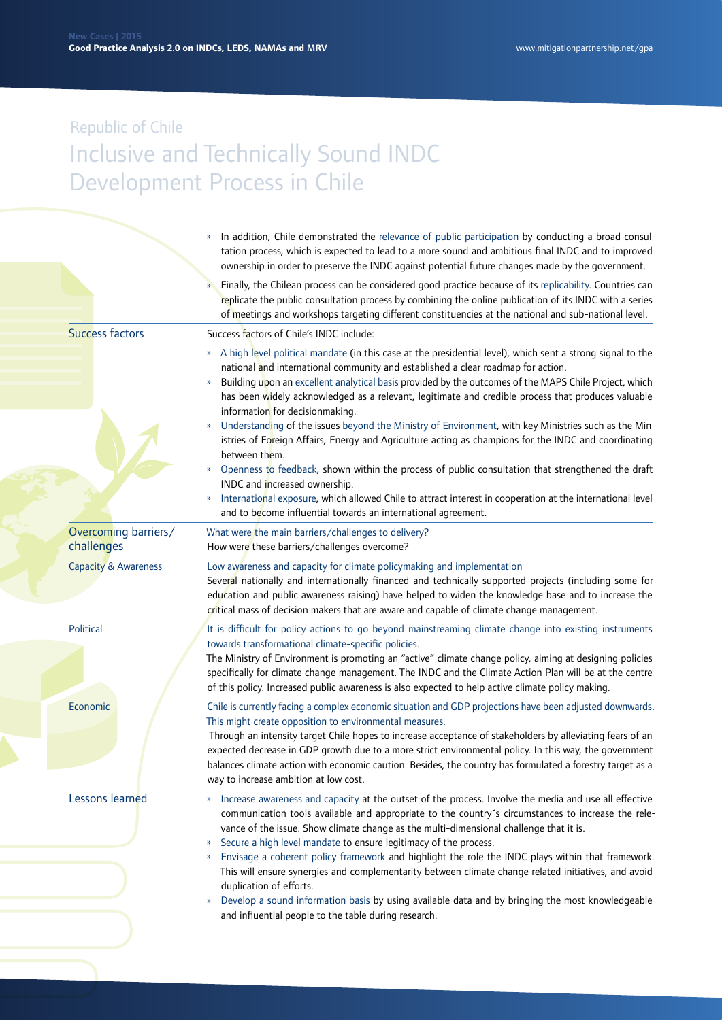|                                    | In addition, Chile demonstrated the relevance of public participation by conducting a broad consul-<br>tation process, which is expected to lead to a more sound and ambitious final INDC and to improved<br>ownership in order to preserve the INDC against potential future changes made by the government.                                                                                                        |
|------------------------------------|----------------------------------------------------------------------------------------------------------------------------------------------------------------------------------------------------------------------------------------------------------------------------------------------------------------------------------------------------------------------------------------------------------------------|
|                                    | Finally, the Chilean process can be considered good practice because of its replicability. Countries can<br>replicate the public consultation process by combining the online publication of its INDC with a series<br>of meetings and workshops targeting different constituencies at the national and sub-national level.                                                                                          |
| <b>Success factors</b>             | Success factors of Chile's INDC include:                                                                                                                                                                                                                                                                                                                                                                             |
|                                    | » A high level political mandate (in this case at the presidential level), which sent a strong signal to the<br>national and international community and established a clear roadmap for action.<br>Building upon an excellent analytical basis provided by the outcomes of the MAPS Chile Project, which<br>»<br>has been widely acknowledged as a relevant, legitimate and credible process that produces valuable |
|                                    | information for decisionmaking.<br>Understanding of the issues beyond the Ministry of Environment, with key Ministries such as the Min-<br>$\boldsymbol{\mathcal{V}}$<br>istries of Foreign Affairs, Energy and Agriculture acting as champions for the INDC and coordinating<br>between them.                                                                                                                       |
|                                    | Openness to feedback, shown within the process of public consultation that strengthened the draft<br>»<br>INDC and increased ownership.<br>International exposure, which allowed Chile to attract interest in cooperation at the international level<br>$\boldsymbol{\mathcal{V}}$<br>and to become influential towards an international agreement.                                                                  |
| Overcoming barriers/<br>challenges | What were the main barriers/challenges to delivery?<br>How were these barriers/challenges overcome?                                                                                                                                                                                                                                                                                                                  |
| <b>Capacity &amp; Awareness</b>    | Low awareness and capacity for climate policymaking and implementation<br>Several nationally and internationally financed and technically supported projects (including some for<br>education and public awareness raising) have helped to widen the knowledge base and to increase the<br>critical mass of decision makers that are aware and capable of climate change management.                                 |
| Political                          | It is difficult for policy actions to go beyond mainstreaming climate change into existing instruments<br>towards transformational climate-specific policies.                                                                                                                                                                                                                                                        |
|                                    | The Ministry of Environment is promoting an "active" climate change policy, aiming at designing policies<br>specifically for climate change management. The INDC and the Climate Action Plan will be at the centre<br>of this policy. Increased public awareness is also expected to help active climate policy making.                                                                                              |
| Economic                           | Chile is currently facing a complex economic situation and GDP projections have been adjusted downwards.<br>This might create opposition to environmental measures.                                                                                                                                                                                                                                                  |
|                                    | Through an intensity target Chile hopes to increase acceptance of stakeholders by alleviating fears of an<br>expected decrease in GDP growth due to a more strict environmental policy. In this way, the government<br>balances climate action with economic caution. Besides, the country has formulated a forestry target as a<br>way to increase ambition at low cost.                                            |
| Lessons learned                    | Increase awareness and capacity at the outset of the process. Involve the media and use all effective<br>»<br>communication tools available and appropriate to the country's circumstances to increase the rele-<br>vance of the issue. Show climate change as the multi-dimensional challenge that it is.<br>Secure a high level mandate to ensure legitimacy of the process.<br>$\boldsymbol{\mathcal{Y}}$         |
|                                    | Envisage a coherent policy framework and highlight the role the INDC plays within that framework.<br>»<br>This will ensure synergies and complementarity between climate change related initiatives, and avoid<br>duplication of efforts.                                                                                                                                                                            |
|                                    | Develop a sound information basis by using available data and by bringing the most knowledgeable<br>$\boldsymbol{\mathcal{Y}}$<br>and influential people to the table during research.                                                                                                                                                                                                                               |